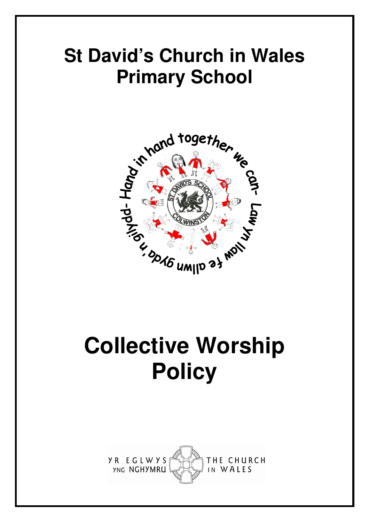## **St David's Church in Wales Primary School**



# **Collective Worship Policy**

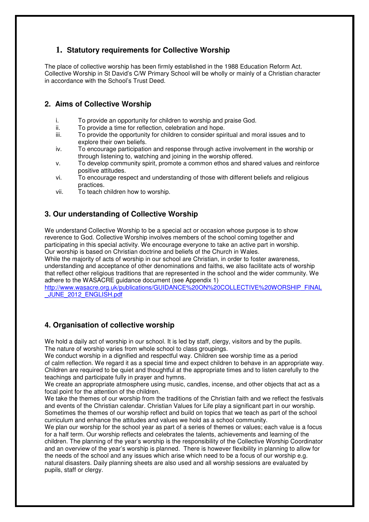## **1. Statutory requirements for Collective Worship**

The place of collective worship has been firmly established in the 1988 Education Reform Act. Collective Worship in St David's C/W Primary School will be wholly or mainly of a Christian character in accordance with the School's Trust Deed.

## **2. Aims of Collective Worship**

- i. To provide an opportunity for children to worship and praise God.<br>ii To provide a time for reflection, celebration and hope
- To provide a time for reflection, celebration and hope.
- iii. To provide the opportunity for children to consider spiritual and moral issues and to explore their own beliefs.
- iv. To encourage participation and response through active involvement in the worship or through listening to, watching and joining in the worship offered.
- v. To develop community spirit, promote a common ethos and shared values and reinforce positive attitudes.
- vi. To encourage respect and understanding of those with different beliefs and religious practices.
- vii. To teach children how to worship.

## **3. Our understanding of Collective Worship**

We understand Collective Worship to be a special act or occasion whose purpose is to show reverence to God. Collective Worship involves members of the school coming together and participating in this special activity. We encourage everyone to take an active part in worship. Our worship is based on Christian doctrine and beliefs of the Church in Wales.

While the majority of acts of worship in our school are Christian, in order to foster awareness, understanding and acceptance of other denominations and faiths, we also facilitate acts of worship that reflect other religious traditions that are represented in the school and the wider community. We adhere to the WASACRE guidance document (see Appendix 1)

http://www.wasacre.org.uk/publications/GUIDANCE%20ON%20COLLECTIVE%20WORSHIP\_FINAL JUNE\_2012\_ENGLISH.pdf

## **4. Organisation of collective worship**

We hold a daily act of worship in our school. It is led by staff, clergy, visitors and by the pupils. The nature of worship varies from whole school to class groupings.

We conduct worship in a dignified and respectful way. Children see worship time as a period of calm reflection. We regard it as a special time and expect children to behave in an appropriate way. Children are required to be quiet and thoughtful at the appropriate times and to listen carefully to the teachings and participate fully in prayer and hymns.

We create an appropriate atmosphere using music, candles, incense, and other objects that act as a focal point for the attention of the children.

We take the themes of our worship from the traditions of the Christian faith and we reflect the festivals and events of the Christian calendar. Christian Values for Life play a significant part in our worship. Sometimes the themes of our worship reflect and build on topics that we teach as part of the school curriculum and enhance the attitudes and values we hold as a school community.

We plan our worship for the school year as part of a series of themes or values; each value is a focus for a half term. Our worship reflects and celebrates the talents, achievements and learning of the children. The planning of the year's worship is the responsibility of the Collective Worship Coordinator and an overview of the year's worship is planned. There is however flexibility in planning to allow for the needs of the school and any issues which arise which need to be a focus of our worship e.g. natural disasters. Daily planning sheets are also used and all worship sessions are evaluated by pupils, staff or clergy.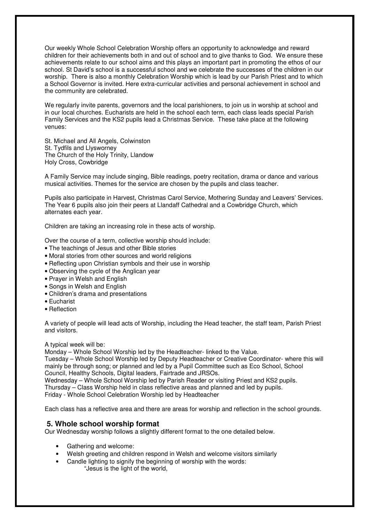Our weekly Whole School Celebration Worship offers an opportunity to acknowledge and reward children for their achievements both in and out of school and to give thanks to God. We ensure these achievements relate to our school aims and this plays an important part in promoting the ethos of our school. St David's school is a successful school and we celebrate the successes of the children in our worship. There is also a monthly Celebration Worship which is lead by our Parish Priest and to which a School Governor is invited. Here extra-curricular activities and personal achievement in school and the community are celebrated.

We regularly invite parents, governors and the local parishioners, to join us in worship at school and in our local churches. Eucharists are held in the school each term, each class leads special Parish Family Services and the KS2 pupils lead a Christmas Service. These take place at the following venues:

St. Michael and All Angels, Colwinston St. Tydfils and Llysworney The Church of the Holy Trinity, Llandow Holy Cross, Cowbridge

A Family Service may include singing, Bible readings, poetry recitation, drama or dance and various musical activities. Themes for the service are chosen by the pupils and class teacher.

Pupils also participate in Harvest, Christmas Carol Service, Mothering Sunday and Leavers' Services. The Year 6 pupils also join their peers at Llandaff Cathedral and a Cowbridge Church, which alternates each year.

Children are taking an increasing role in these acts of worship.

Over the course of a term, collective worship should include:

- The teachings of Jesus and other Bible stories
- Moral stories from other sources and world religions
- Reflecting upon Christian symbols and their use in worship
- Observing the cycle of the Anglican year
- Prayer in Welsh and English
- Songs in Welsh and English
- Children's drama and presentations
- Eucharist
- Reflection

A variety of people will lead acts of Worship, including the Head teacher, the staff team, Parish Priest and visitors.

A typical week will be:

Monday – Whole School Worship led by the Headteacher- linked to the Value.

Tuesday – Whole School Worship led by Deputy Headteacher or Creative Coordinator- where this will mainly be through song; or planned and led by a Pupil Committee such as Eco School, School Council, Healthy Schools, Digital leaders, Fairtrade and JRSOs.

Wednesday – Whole School Worship led by Parish Reader or visiting Priest and KS2 pupils.

Thursday – Class Worship held in class reflective areas and planned and led by pupils.

Friday - Whole School Celebration Worship led by Headteacher

Each class has a reflective area and there are areas for worship and reflection in the school grounds.

### **5. Whole school worship format**

Our Wednesday worship follows a slightly different format to the one detailed below.

- Gathering and welcome:
- Welsh greeting and children respond in Welsh and welcome visitors similarly
- Candle lighting to signify the beginning of worship with the words: "Jesus is the light of the world,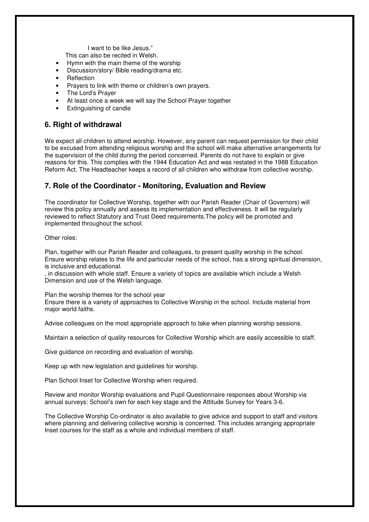#### I want to be like Jesus."

This can also be recited in Welsh.

- Hymn with the main theme of the worship
- Discussion/story/ Bible reading/drama etc.
- **Reflection**
- Prayers to link with theme or children's own prayers.
- The Lord's Prayer
- At least once a week we will say the School Prayer together
- Extinguishing of candle

## **6. Right of withdrawal**

We expect all children to attend worship. However, any parent can request permission for their child to be excused from attending religious worship and the school will make alternative arrangements for the supervision of the child during the period concerned. Parents do not have to explain or give reasons for this. This complies with the 1944 Education Act and was restated in the 1988 Education Reform Act. The Headteacher keeps a record of all children who withdraw from collective worship.

## **7. Role of the Coordinator - Monitoring, Evaluation and Review**

The coordinator for Collective Worship, together with our Parish Reader (Chair of Governors) will review this policy annually and assess its implementation and effectiveness. It will be regularly reviewed to reflect Statutory and Trust Deed requirements.The policy will be promoted and implemented throughout the school.

Other roles:

Plan, together with our Parish Reader and colleagues, to present quality worship in the school. Ensure worship relates to the life and particular needs of the school, has a strong spiritual dimension, is inclusive and educational.

, in discussion with whole staff. Ensure a variety of topics are available which include a Welsh Dimension and use of the Welsh language.

Plan the worship themes for the school year

Ensure there is a variety of approaches to Collective Worship in the school. Include material from major world faiths.

Advise colleagues on the most appropriate approach to take when planning worship sessions.

Maintain a selection of quality resources for Collective Worship which are easily accessible to staff.

Give guidance on recording and evaluation of worship.

Keep up with new legislation and guidelines for worship.

Plan School Inset for Collective Worship when required.

Review and monitor Worship evaluations and Pupil Questionnaire responses about Worship via annual surveys: School's own for each key stage and the Attitude Survey for Years 3-6.

The Collective Worship Co-ordinator is also available to give advice and support to staff and visitors where planning and delivering collective worship is concerned. This includes arranging appropriate Inset courses for the staff as a whole and individual members of staff.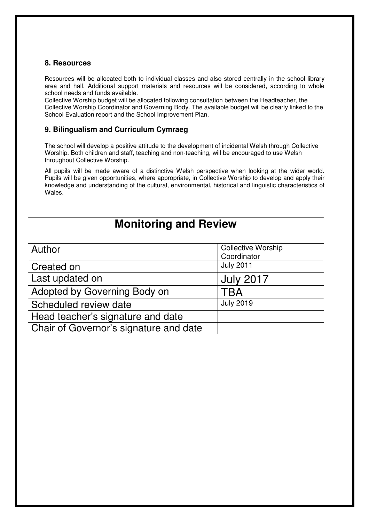## **8. Resources**

Resources will be allocated both to individual classes and also stored centrally in the school library area and hall. Additional support materials and resources will be considered, according to whole school needs and funds available.

Collective Worship budget will be allocated following consultation between the Headteacher, the Collective Worship Coordinator and Governing Body. The available budget will be clearly linked to the School Evaluation report and the School Improvement Plan.

## **9. Bilingualism and Curriculum Cymraeg**

The school will develop a positive attitude to the development of incidental Welsh through Collective Worship. Both children and staff, teaching and non-teaching, will be encouraged to use Welsh throughout Collective Worship.

All pupils will be made aware of a distinctive Welsh perspective when looking at the wider world. Pupils will be given opportunities, where appropriate, in Collective Worship to develop and apply their knowledge and understanding of the cultural, environmental, historical and linguistic characteristics of Wales.

## **Monitoring and Review**

| Author                                 | <b>Collective Worship</b> |
|----------------------------------------|---------------------------|
|                                        | Coordinator               |
| Created on                             | <b>July 2011</b>          |
| Last updated on                        | <b>July 2017</b>          |
| Adopted by Governing Body on           | TBA                       |
| Scheduled review date                  | <b>July 2019</b>          |
| Head teacher's signature and date      |                           |
| Chair of Governor's signature and date |                           |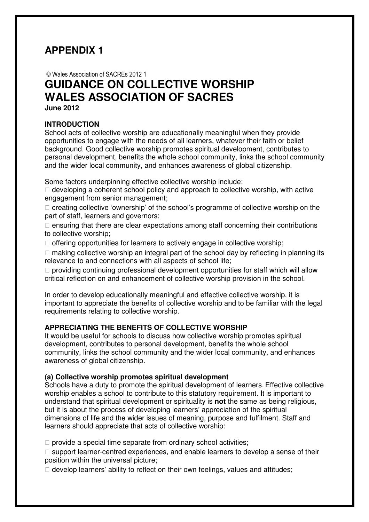## **APPENDIX 1**

## © Wales Association of SACREs 2012 1 **GUIDANCE ON COLLECTIVE WORSHIP WALES ASSOCIATION OF SACRES June 2012**

## **INTRODUCTION**

School acts of collective worship are educationally meaningful when they provide opportunities to engage with the needs of all learners, whatever their faith or belief background. Good collective worship promotes spiritual development, contributes to personal development, benefits the whole school community, links the school community and the wider local community, and enhances awareness of global citizenship.

Some factors underpinning effective collective worship include:

 developing a coherent school policy and approach to collective worship, with active engagement from senior management;

 creating collective 'ownership' of the school's programme of collective worship on the part of staff, learners and governors;

 ensuring that there are clear expectations among staff concerning their contributions to collective worship;

offering opportunities for learners to actively engage in collective worship;

 making collective worship an integral part of the school day by reflecting in planning its relevance to and connections with all aspects of school life;

 providing continuing professional development opportunities for staff which will allow critical reflection on and enhancement of collective worship provision in the school.

In order to develop educationally meaningful and effective collective worship, it is important to appreciate the benefits of collective worship and to be familiar with the legal requirements relating to collective worship.

## **APPRECIATING THE BENEFITS OF COLLECTIVE WORSHIP**

It would be useful for schools to discuss how collective worship promotes spiritual development, contributes to personal development, benefits the whole school community, links the school community and the wider local community, and enhances awareness of global citizenship.

## **(a) Collective worship promotes spiritual development**

Schools have a duty to promote the spiritual development of learners. Effective collective worship enables a school to contribute to this statutory requirement. It is important to understand that spiritual development or spirituality is **not** the same as being religious, but it is about the process of developing learners' appreciation of the spiritual dimensions of life and the wider issues of meaning, purpose and fulfilment. Staff and learners should appreciate that acts of collective worship:

provide a special time separate from ordinary school activities;

 support learner-centred experiences, and enable learners to develop a sense of their position within the universal picture;

develop learners' ability to reflect on their own feelings, values and attitudes;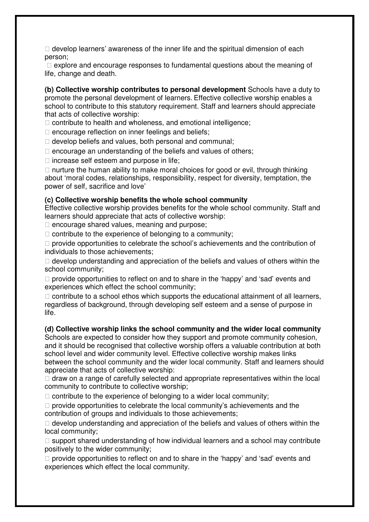develop learners' awareness of the inner life and the spiritual dimension of each person;

 explore and encourage responses to fundamental questions about the meaning of life, change and death.

**(b) Collective worship contributes to personal development** Schools have a duty to promote the personal development of learners. Effective collective worship enables a school to contribute to this statutory requirement. Staff and learners should appreciate that acts of collective worship:

contribute to health and wholeness, and emotional intelligence;

encourage reflection on inner feelings and beliefs;

develop beliefs and values, both personal and communal;

encourage an understanding of the beliefs and values of others;

increase self esteem and purpose in life;

 nurture the human ability to make moral choices for good or evil, through thinking about 'moral codes, relationships, responsibility, respect for diversity, temptation, the power of self, sacrifice and love'

## **(c) Collective worship benefits the whole school community**

Effective collective worship provides benefits for the whole school community. Staff and learners should appreciate that acts of collective worship:

encourage shared values, meaning and purpose;

contribute to the experience of belonging to a community;

 provide opportunities to celebrate the school's achievements and the contribution of individuals to those achievements;

 develop understanding and appreciation of the beliefs and values of others within the school community;

 provide opportunities to reflect on and to share in the 'happy' and 'sad' events and experiences which effect the school community;

 contribute to a school ethos which supports the educational attainment of all learners, regardless of background, through developing self esteem and a sense of purpose in life.

#### **(d) Collective worship links the school community and the wider local community**

Schools are expected to consider how they support and promote community cohesion, and it should be recognised that collective worship offers a valuable contribution at both school level and wider community level. Effective collective worship makes links between the school community and the wider local community. Staff and learners should appreciate that acts of collective worship:

 draw on a range of carefully selected and appropriate representatives within the local community to contribute to collective worship;

contribute to the experience of belonging to a wider local community;

 provide opportunities to celebrate the local community's achievements and the contribution of groups and individuals to those achievements;

 develop understanding and appreciation of the beliefs and values of others within the local community;

 support shared understanding of how individual learners and a school may contribute positively to the wider community;

 provide opportunities to reflect on and to share in the 'happy' and 'sad' events and experiences which effect the local community.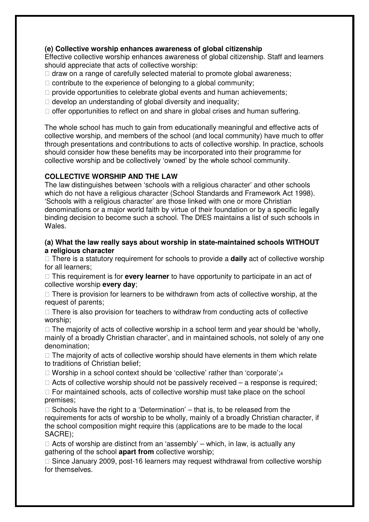## **(e) Collective worship enhances awareness of global citizenship**

Effective collective worship enhances awareness of global citizenship. Staff and learners should appreciate that acts of collective worship:

draw on a range of carefully selected material to promote global awareness;

contribute to the experience of belonging to a global community;

provide opportunities to celebrate global events and human achievements;

develop an understanding of global diversity and inequality;

offer opportunities to reflect on and share in global crises and human suffering.

The whole school has much to gain from educationally meaningful and effective acts of collective worship, and members of the school (and local community) have much to offer through presentations and contributions to acts of collective worship. In practice, schools should consider how these benefits may be incorporated into their programme for collective worship and be collectively 'owned' by the whole school community.

## **COLLECTIVE WORSHIP AND THE LAW**

The law distinguishes between 'schools with a religious character' and other schools which do not have a religious character (School Standards and Framework Act 1998). 'Schools with a religious character' are those linked with one or more Christian denominations or a major world faith by virtue of their foundation or by a specific legally binding decision to become such a school. The DfES maintains a list of such schools in Wales.

## **(a) What the law really says about worship in state-maintained schools WITHOUT a religious character**

 There is a statutory requirement for schools to provide a **daily** act of collective worship for all learners;

 This requirement is for **every learner** to have opportunity to participate in an act of collective worship **every day**;

 There is provision for learners to be withdrawn from acts of collective worship, at the request of parents;

 There is also provision for teachers to withdraw from conducting acts of collective worship;

 The majority of acts of collective worship in a school term and year should be 'wholly, mainly of a broadly Christian character', and in maintained schools, not solely of any one denomination;

 The majority of acts of collective worship should have elements in them which relate to traditions of Christian belief;

Worship in a school context should be 'collective' rather than 'corporate';4

Acts of collective worship should not be passively received – a response is required;

 For maintained schools, acts of collective worship must take place on the school premises;

 Schools have the right to a 'Determination' – that is, to be released from the requirements for acts of worship to be wholly, mainly of a broadly Christian character, if the school composition might require this (applications are to be made to the local SACRE);

 Acts of worship are distinct from an 'assembly' – which, in law, is actually any gathering of the school **apart from** collective worship;

 Since January 2009, post-16 learners may request withdrawal from collective worship for themselves.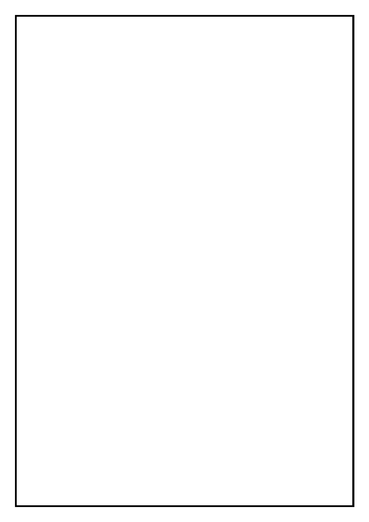